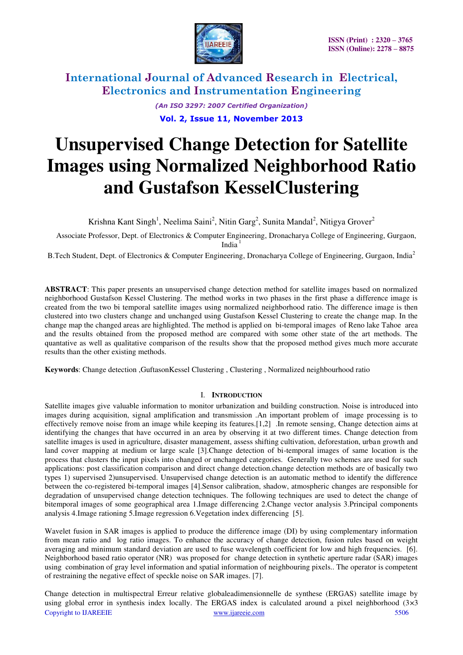

*(An ISO 3297: 2007 Certified Organization)* 

**Vol. 2, Issue 11, November 2013**

# **Unsupervised Change Detection for Satellite Images using Normalized Neighborhood Ratio and Gustafson KesselClustering**

Krishna Kant Singh<sup>1</sup>, Neelima Saini<sup>2</sup>, Nitin Garg<sup>2</sup>, Sunita Mandal<sup>2</sup>, Nitigya Grover<sup>2</sup>

 Associate Professor, Dept. of Electronics & Computer Engineering, Dronacharya College of Engineering, Gurgaon, India $1$ 

B.Tech Student, Dept. of Electronics & Computer Engineering, Dronacharya College of Engineering, Gurgaon, India<sup>2</sup>

**ABSTRACT**: This paper presents an unsupervised change detection method for satellite images based on normalized neighborhood Gustafson Kessel Clustering. The method works in two phases in the first phase a difference image is created from the two bi temporal satellite images using normalized neighborhood ratio. The difference image is then clustered into two clusters change and unchanged using Gustafson Kessel Clustering to create the change map. In the change map the changed areas are highlighted. The method is applied on bi-temporal images of Reno lake Tahoe area and the results obtained from the proposed method are compared with some other state of the art methods. The quantative as well as qualitative comparison of the results show that the proposed method gives much more accurate results than the other existing methods.

**Keywords**: Change detection ,GuftasonKessel Clustering , Clustering , Normalized neighbourhood ratio

## I. **INTRODUCTION**

Satellite images give valuable information to monitor urbanization and building construction. Noise is introduced into images during acquisition, signal amplification and transmission .An important problem of image processing is to effectively remove noise from an image while keeping its features.[1,2] .In remote sensing, Change detection aims at identifying the changes that have occurred in an area by observing it at two different times. Change detection from satellite images is used in agriculture, disaster management, assess shifting cultivation, deforestation, urban growth and land cover mapping at medium or large scale [3].Change detection of bi-temporal images of same location is the process that clusters the input pixels into changed or unchanged categories. Generally two schemes are used for such applications: post classification comparison and direct change detection.change detection methods are of basically two types 1) supervised 2)unsupervised. Unsupervised change detection is an automatic method to identify the difference between the co-registered bi-temporal images [4].Sensor calibration, shadow, atmospheric changes are responsible for degradation of unsupervised change detection techniques. The following techniques are used to detect the change of bitemporal images of some geographical area 1.Image differencing 2.Change vector analysis 3.Principal components analysis 4.Image rationing 5.Image regression 6.Vegetation index differencing [5].

Wavelet fusion in SAR images is applied to produce the difference image (DI) by using complementary information from mean ratio and log ratio images. To enhance the accuracy of change detection, fusion rules based on weight averaging and minimum standard deviation are used to fuse wavelength coefficient for low and high frequencies. [6]. Neighborhood based ratio operator (NR) was proposed for change detection in synthetic aperture radar (SAR) images using combination of gray level information and spatial information of neighbouring pixels.. The operator is competent of restraining the negative effect of speckle noise on SAR images. [7].

Copyright to IJAREEIE [www.ijareeie.com](http://www.ijareeie.com/) 5506 Change detection in multispectral Erreur relative globaleadimensionnelle de synthese (ERGAS) satellite image by using global error in synthesis index locally. The ERGAS index is calculated around a pixel neighborhood (3×3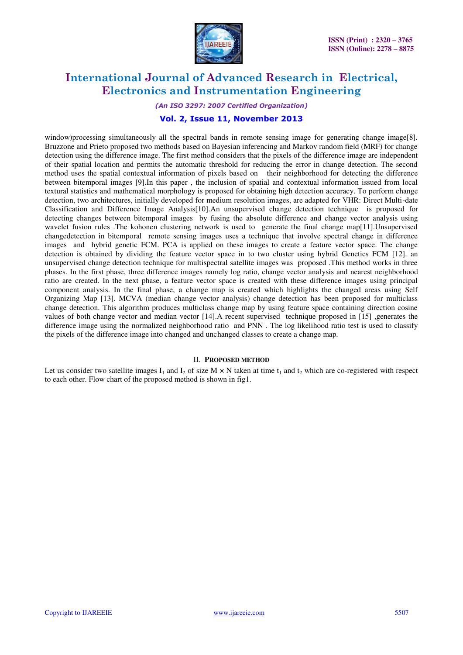

*(An ISO 3297: 2007 Certified Organization)* 

## **Vol. 2, Issue 11, November 2013**

window)processing simultaneously all the spectral bands in remote sensing image for generating change image[8]. Bruzzone and Prieto proposed two methods based on Bayesian inferencing and Markov random field (MRF) for change detection using the difference image. The first method considers that the pixels of the difference image are independent of their spatial location and permits the automatic threshold for reducing the error in change detection. The second method uses the spatial contextual information of pixels based on their neighborhood for detecting the difference between bitemporal images [9].In this paper , the inclusion of spatial and contextual information issued from local textural statistics and mathematical morphology is proposed for obtaining high detection accuracy. To perform change detection, two architectures, initially developed for medium resolution images, are adapted for VHR: Direct Multi-date Classification and Difference Image Analysis[10].An unsupervised change detection technique is proposed for detecting changes between bitemporal images by fusing the absolute difference and change vector analysis using wavelet fusion rules .The kohonen clustering network is used to generate the final change map[11].Unsupervised changedetection in bitemporal remote sensing images uses a technique that involve spectral change in difference images and hybrid genetic FCM. PCA is applied on these images to create a feature vector space. The change detection is obtained by dividing the feature vector space in to two cluster using hybrid Genetics FCM [12]. an unsupervised change detection technique for multispectral satellite images was proposed .This method works in three phases. In the first phase, three difference images namely log ratio, change vector analysis and nearest neighborhood ratio are created. In the next phase, a feature vector space is created with these difference images using principal component analysis. In the final phase, a change map is created which highlights the changed areas using Self Organizing Map [13]. MCVA (median change vector analysis) change detection has been proposed for multiclass change detection. This algorithm produces multiclass change map by using feature space containing direction cosine values of both change vector and median vector [14].A recent supervised technique proposed in [15] ,generates the difference image using the normalized neighborhood ratio and PNN *.* The log likelihood ratio test is used to classify the pixels of the difference image into changed and unchanged classes to create a change map*.*

#### II. **PROPOSED METHOD**

Let us consider two satellite images I<sub>1</sub> and I<sub>2</sub> of size M  $\times$  N taken at time t<sub>1</sub> and t<sub>2</sub> which are co-registered with respect to each other. Flow chart of the proposed method is shown in fig1.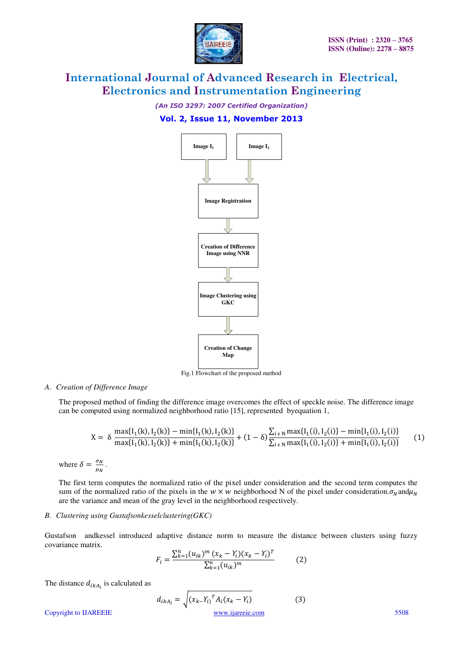

*(An ISO 3297: 2007 Certified Organization)* 

## **Vol. 2, Issue 11, November 2013**



Fig.1 Flowchart of the proposed method

#### *A. Creation of Difference Image*

The proposed method of finding the difference image overcomes the effect of speckle noise. The difference image can be computed using normalized neighborhood ratio [15], represented byequation 1,

$$
X = \delta \frac{\max\{I_1(k), I_2(k)\} - \min\{I_1(k), I_2(k)\}}{\max\{I_1(k), I_2(k)\} + \min\{I_1(k), I_2(k)\}} + (1 - \delta) \frac{\sum_{i \in N} \max\{I_1(i), I_2(i)\} - \min\{I_1(i), I_2(i)\}}{\sum_{i \in N} \max\{I_1(i), I_2(i)\} + \min\{I_1(i), I_2(i)\}}
$$
(1)

where  $\delta = \frac{\partial N}{\mu_N}$ .

The first term computes the normalized ratio of the pixel under consideration and the second term computes the sum of the normalized ratio of the pixels in the  $w \times w$  neighborhood N of the pixel under consideration.  $\sigma_N$  and  $\mu_N$ are the variance and mean of the gray level in the neighborhood respectively.

#### *B. Clustering using Gustafsonkesselclustering(GKC)*

Gustafson andkessel introduced adaptive distance norm to measure the distance between clusters using fuzzy covariance matrix.

$$
F_i = \frac{\sum_{k=1}^{n} (u_{ik})^m (x_k - Y_i)(x_k - Y_i)^T}{\sum_{k=1}^{n} (u_{ik})^m}
$$
(2)

The distance  $d_{ikA_i}$  is calculated as

$$
d_{ikA_i} = \sqrt{(x_k - Y_i)^T A_i (x_k - Y_i)}
$$
(3)  
Copyright to IJAREEIE  
www.ijarecie.com (3)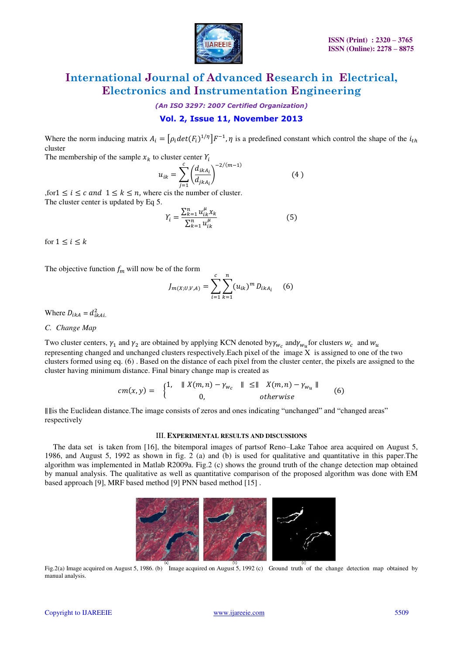

*(An ISO 3297: 2007 Certified Organization)* 

## **Vol. 2, Issue 11, November 2013**

Where the norm inducing matrix  $A_i = [\rho_i det(F_i)^{1/\eta}] F^{-1}$ ,  $\eta$  is a predefined constant which control the shape of the cluster

The membership of the sample  $x_k$  to cluster center  $Y_i$ 

$$
u_{ik} = \sum_{j=1}^{c} \left(\frac{d_{ikA_i}}{d_{jkA_i}}\right)^{-2/(m-1)}
$$
(4)

, for  $1 \le i \le c$  and  $1 \le k \le n$ , where cis the number of cluster. The cluster center is updated by Eq 5.

$$
Y_{i} = \frac{\sum_{k=1}^{n} u_{ik}^{\mu} x_{k}}{\sum_{k=1}^{n} u_{ik}^{\mu}}
$$
(5)

for  $1 \leq i \leq k$ 

The objective function  $f_m$  will now be of the form

$$
J_{m(X;U,V,A)} = \sum_{i=1}^{c} \sum_{k=1}^{n} (u_{ik})^{m} D_{ikA_{i}} \quad (6)
$$

Where  $D_{ikA} = d_{ij}^2$ 

### *C. Change Map*

Two cluster centers,  $\gamma_1$  and  $\gamma_2$  are obtained by applying KCN denoted by  $\gamma_{w_c}$  and  $\gamma_{w_u}$  for clusters  $w_c$  and representing changed and unchanged clusters respectively. Each pixel of the image  $\bar{X}$  is assigned to one of the two clusters formed using eq. (6) . Based on the distance of each pixel from the cluster center, the pixels are assigned to the cluster having minimum distance. Final binary change map is created as

$$
cm(x,y) = \begin{cases} 1, & \| X(m,n) - \gamma_{w_c} \| \le \| X(m,n) - \gamma_{w_u} \| \\ 0, & otherwise \end{cases}
$$
(6)

 is the Euclidean distance.The image consists of zeros and ones indicating "unchanged" and "changed areas" respectively

#### III. **EXPERIMENTAL RESULTS AND DISCUSSIONS**

The data set is taken from [16], the bitemporal images of partsof Reno–Lake Tahoe area acquired on August 5, 1986, and August 5, 1992 as shown in fig. 2 (a) and (b) is used for qualitative and quantitative in this paper.The algorithm was implemented in Matlab R2009a. Fig.2 (c) shows the ground truth of the change detection map obtained by manual analysis. The qualitative as well as quantitative comparison of the proposed algorithm was done with EM based approach [9], MRF based method [9] PNN based method [15] .



Fig.2(a) Image acquired on August 5, 1986. (b) Image acquired on August 5, 1992 (c) Ground truth of the change detection map obtained by manual analysis.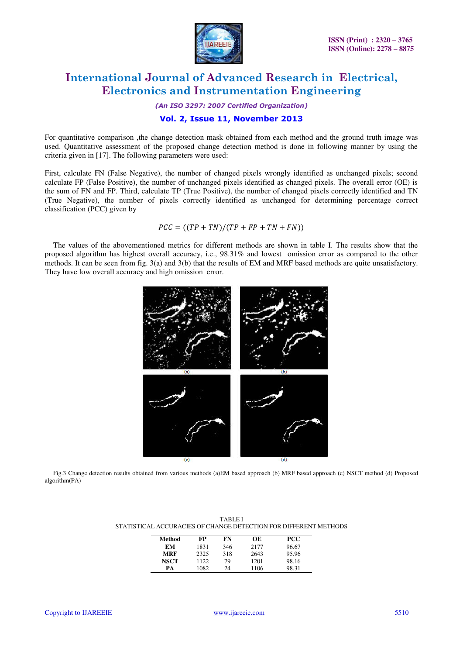

*(An ISO 3297: 2007 Certified Organization)* 

## **Vol. 2, Issue 11, November 2013**

For quantitative comparison ,the change detection mask obtained from each method and the ground truth image was used. Quantitative assessment of the proposed change detection method is done in following manner by using the criteria given in [17]. The following parameters were used:

First, calculate FN (False Negative), the number of changed pixels wrongly identified as unchanged pixels; second calculate FP (False Positive), the number of unchanged pixels identified as changed pixels. The overall error (OE) is the sum of FN and FP. Third, calculate TP (True Positive), the number of changed pixels correctly identified and TN (True Negative), the number of pixels correctly identified as unchanged for determining percentage correct classification (PCC) given by

$$
PCC = ((TP + TN)/(TP + FP + TN + FN))
$$

The values of the abovementioned metrics for different methods are shown in table I. The results show that the proposed algorithm has highest overall accuracy, i.e., 98.31% and lowest omission error as compared to the other methods. It can be seen from fig. 3(a) and 3(b) that the results of EM and MRF based methods are quite unsatisfactory. They have low overall accuracy and high omission error.



Fig.3 Change detection results obtained from various methods (a)EM based approach (b) MRF based approach (c) NSCT method (d) Proposed algorithm(PA)

| Method      | FP   | FN  | OЕ   | <b>PCC</b> |
|-------------|------|-----|------|------------|
| EМ          | 1831 | 346 | 2177 | 96.67      |
| <b>MRF</b>  | 2325 | 318 | 2643 | 95.96      |
| <b>NSCT</b> | 1122 | 79  | 1201 | 98.16      |
| PА          | 1082 | 24  | 1106 | 98.31      |

TABLE I STATISTICAL ACCURACIES OF CHANGE DETECTION FOR DIFFERENT METHODS